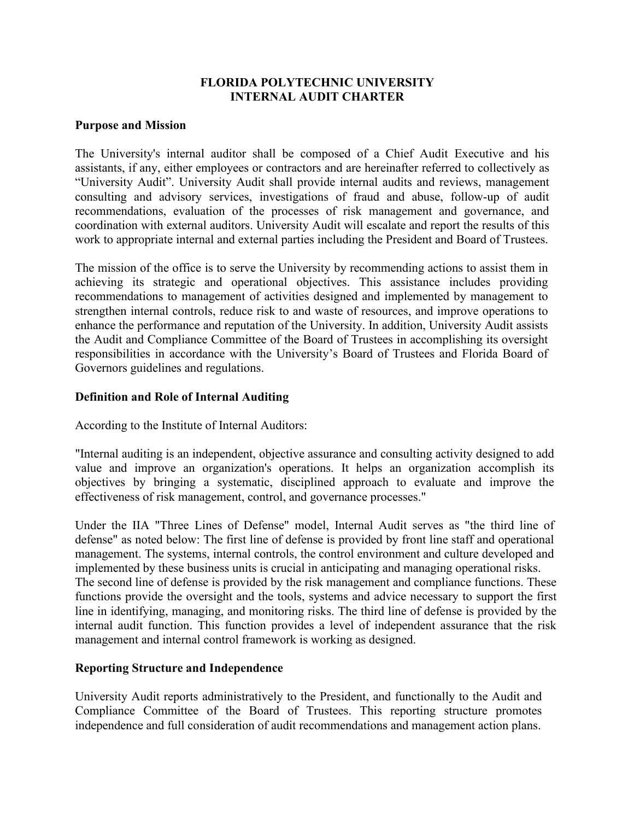## **FLORIDA POLYTECHNIC UNIVERSITY INTERNAL AUDIT CHARTER**

#### **Purpose and Mission**

The University's internal auditor shall be composed of a Chief Audit Executive and his assistants, if any, either employees or contractors and are hereinafter referred to collectively as "University Audit". University Audit shall provide internal audits and reviews, management consulting and advisory services, investigations of fraud and abuse, follow-up of audit recommendations, evaluation of the processes of risk management and governance, and coordination with external auditors. University Audit will escalate and report the results of this work to appropriate internal and external parties including the President and Board of Trustees.

The mission of the office is to serve the University by recommending actions to assist them in achieving its strategic and operational objectives. This assistance includes providing recommendations to management of activities designed and implemented by management to strengthen internal controls, reduce risk to and waste of resources, and improve operations to enhance the performance and reputation of the University. In addition, University Audit assists the Audit and Compliance Committee of the Board of Trustees in accomplishing its oversight responsibilities in accordance with the University's Board of Trustees and Florida Board of Governors guidelines and regulations.

### **Definition and Role of Internal Auditing**

According to the Institute of Internal Auditors:

"Internal auditing is an independent, objective assurance and consulting activity designed to add value and improve an organization's operations. It helps an organization accomplish its objectives by bringing a systematic, disciplined approach to evaluate and improve the effectiveness of risk management, control, and governance processes."

Under the IIA "Three Lines of Defense" model, Internal Audit serves as "the third line of defense" as noted below: The first line of defense is provided by front line staff and operational management. The systems, internal controls, the control environment and culture developed and implemented by these business units is crucial in anticipating and managing operational risks. The second line of defense is provided by the risk management and compliance functions. These functions provide the oversight and the tools, systems and advice necessary to support the first line in identifying, managing, and monitoring risks. The third line of defense is provided by the internal audit function. This function provides a level of independent assurance that the risk management and internal control framework is working as designed.

### **Reporting Structure and Independence**

University Audit reports administratively to the President, and functionally to the Audit and Compliance Committee of the Board of Trustees. This reporting structure promotes independence and full consideration of audit recommendations and management action plans.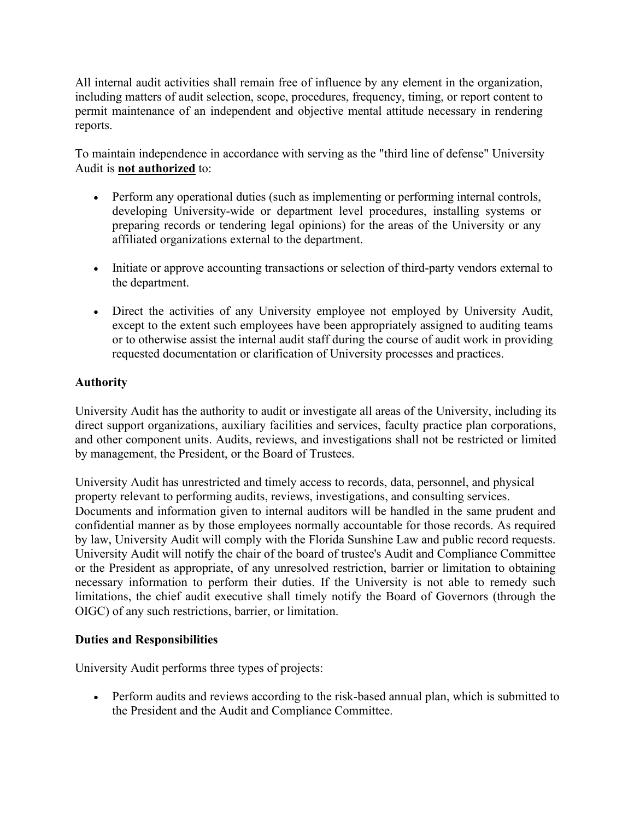All internal audit activities shall remain free of influence by any element in the organization, including matters of audit selection, scope, procedures, frequency, timing, or report content to permit maintenance of an independent and objective mental attitude necessary in rendering reports.

To maintain independence in accordance with serving as the "third line of defense" University Audit is **not authorized** to:

- Perform any operational duties (such as implementing or performing internal controls, developing University-wide or department level procedures, installing systems or preparing records or tendering legal opinions) for the areas of the University or any affiliated organizations external to the department.
- Initiate or approve accounting transactions or selection of third-party vendors external to the department.
- Direct the activities of any University employee not employed by University Audit, except to the extent such employees have been appropriately assigned to auditing teams or to otherwise assist the internal audit staff during the course of audit work in providing requested documentation or clarification of University processes and practices.

# **Authority**

University Audit has the authority to audit or investigate all areas of the University, including its direct support organizations, auxiliary facilities and services, faculty practice plan corporations, and other component units. Audits, reviews, and investigations shall not be restricted or limited by management, the President, or the Board of Trustees.

University Audit has unrestricted and timely access to records, data, personnel, and physical property relevant to performing audits, reviews, investigations, and consulting services. Documents and information given to internal auditors will be handled in the same prudent and confidential manner as by those employees normally accountable for those records. As required by law, University Audit will comply with the Florida Sunshine Law and public record requests. University Audit will notify the chair of the board of trustee's Audit and Compliance Committee or the President as appropriate, of any unresolved restriction, barrier or limitation to obtaining necessary information to perform their duties. If the University is not able to remedy such limitations, the chief audit executive shall timely notify the Board of Governors (through the OIGC) of any such restrictions, barrier, or limitation.

## **Duties and Responsibilities**

University Audit performs three types of projects:

• Perform audits and reviews according to the risk-based annual plan, which is submitted to the President and the Audit and Compliance Committee.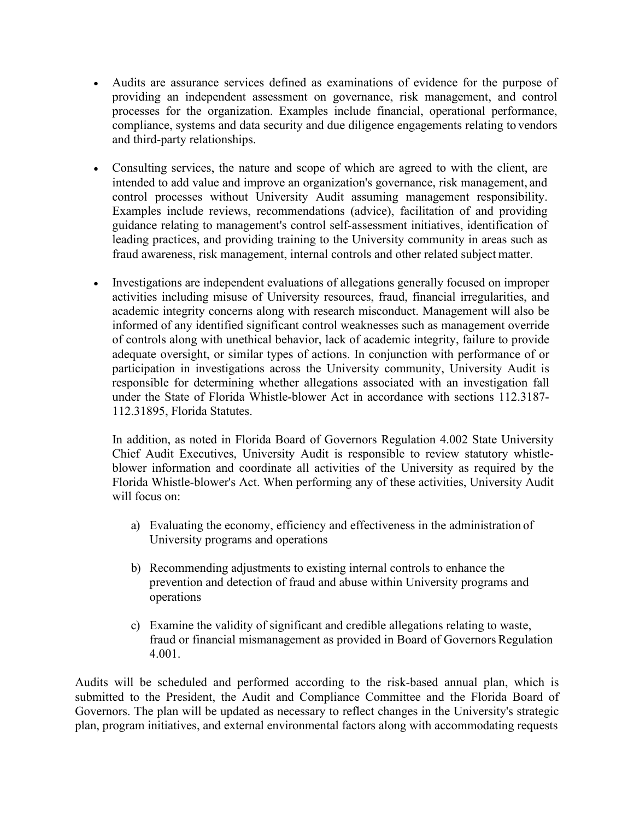- Audits are assurance services defined as examinations of evidence for the purpose of providing an independent assessment on governance, risk management, and control processes for the organization. Examples include financial, operational performance, compliance, systems and data security and due diligence engagements relating to vendors and third-party relationships.
- Consulting services, the nature and scope of which are agreed to with the client, are intended to add value and improve an organization's governance, risk management, and control processes without University Audit assuming management responsibility. Examples include reviews, recommendations (advice), facilitation of and providing guidance relating to management's control self-assessment initiatives, identification of leading practices, and providing training to the University community in areas such as fraud awareness, risk management, internal controls and other related subject matter.
- Investigations are independent evaluations of allegations generally focused on improper activities including misuse of University resources, fraud, financial irregularities, and academic integrity concerns along with research misconduct. Management will also be informed of any identified significant control weaknesses such as management override of controls along with unethical behavior, lack of academic integrity, failure to provide adequate oversight, or similar types of actions. In conjunction with performance of or participation in investigations across the University community, University Audit is responsible for determining whether allegations associated with an investigation fall under the State of Florida Whistle-blower Act in accordance with sections 112.3187- 112.31895, Florida Statutes.

In addition, as noted in Florida Board of Governors Regulation 4.002 State University Chief Audit Executives, University Audit is responsible to review statutory whistleblower information and coordinate all activities of the University as required by the Florida Whistle-blower's Act. When performing any of these activities, University Audit will focus on:

- a) Evaluating the economy, efficiency and effectiveness in the administration of University programs and operations
- b) Recommending adjustments to existing internal controls to enhance the prevention and detection of fraud and abuse within University programs and operations
- c) Examine the validity of significant and credible allegations relating to waste, fraud or financial mismanagement as provided in Board of Governors Regulation 4.001.

Audits will be scheduled and performed according to the risk-based annual plan, which is submitted to the President, the Audit and Compliance Committee and the Florida Board of Governors. The plan will be updated as necessary to reflect changes in the University's strategic plan, program initiatives, and external environmental factors along with accommodating requests